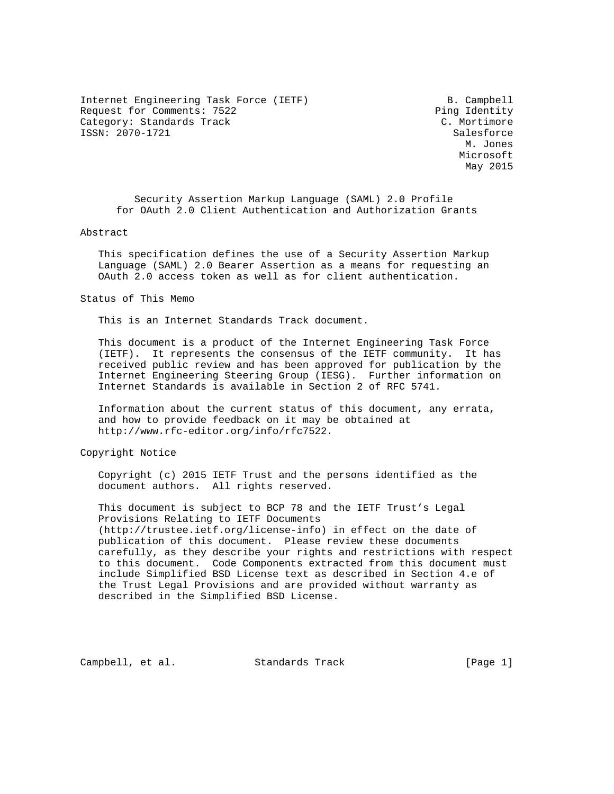Internet Engineering Task Force (IETF) B. Campbell Request for Comments: 7522 Ping Identity Category: Standards Track C. Mortimore ISSN: 2070-1721 Salesforce

 M. Jones Microsoft May 2015

 Security Assertion Markup Language (SAML) 2.0 Profile for OAuth 2.0 Client Authentication and Authorization Grants

#### Abstract

 This specification defines the use of a Security Assertion Markup Language (SAML) 2.0 Bearer Assertion as a means for requesting an OAuth 2.0 access token as well as for client authentication.

Status of This Memo

This is an Internet Standards Track document.

 This document is a product of the Internet Engineering Task Force (IETF). It represents the consensus of the IETF community. It has received public review and has been approved for publication by the Internet Engineering Steering Group (IESG). Further information on Internet Standards is available in Section 2 of RFC 5741.

 Information about the current status of this document, any errata, and how to provide feedback on it may be obtained at http://www.rfc-editor.org/info/rfc7522.

Copyright Notice

 Copyright (c) 2015 IETF Trust and the persons identified as the document authors. All rights reserved.

 This document is subject to BCP 78 and the IETF Trust's Legal Provisions Relating to IETF Documents (http://trustee.ietf.org/license-info) in effect on the date of publication of this document. Please review these documents carefully, as they describe your rights and restrictions with respect to this document. Code Components extracted from this document must include Simplified BSD License text as described in Section 4.e of the Trust Legal Provisions and are provided without warranty as described in the Simplified BSD License.

Campbell, et al. Standards Track [Page 1]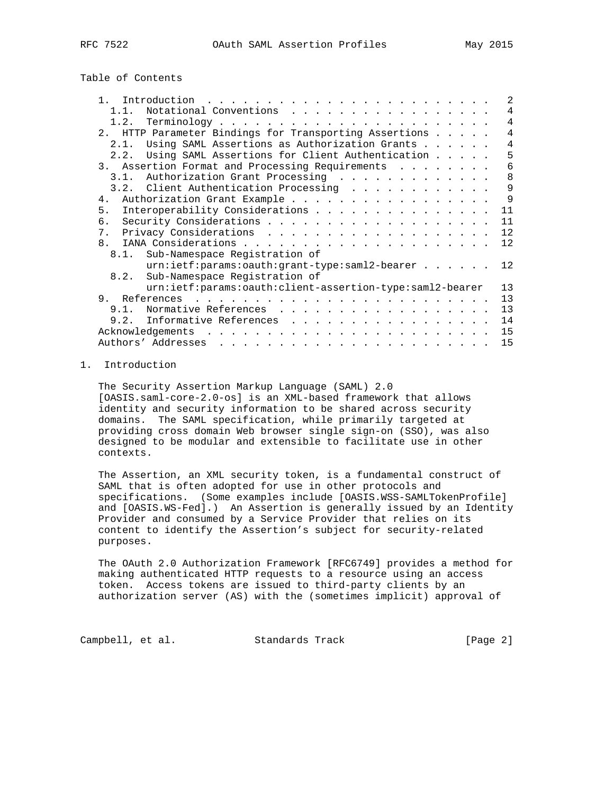Table of Contents

| $\mathbf{1}$<br>Introduction<br><u>. Karl Andrea State Andrea State Andrea State Andrea State Andrea State Andrea State Andrea State Andrea State Andrea State Andrea State Andrea State Andrea State Andrea State Andrea State Andrea State Andrea State Andrea</u> | 2              |
|----------------------------------------------------------------------------------------------------------------------------------------------------------------------------------------------------------------------------------------------------------------------|----------------|
| Notational Conventions<br>1.1.                                                                                                                                                                                                                                       | 4              |
|                                                                                                                                                                                                                                                                      | 4              |
| 2. HTTP Parameter Bindings for Transporting Assertions                                                                                                                                                                                                               | $\overline{4}$ |
| Using SAML Assertions as Authorization Grants<br>2.1.                                                                                                                                                                                                                | 4              |
| Using SAML Assertions for Client Authentication<br>2.2.                                                                                                                                                                                                              | 5              |
| 3. Assertion Format and Processing Requirements                                                                                                                                                                                                                      | 6              |
| Authorization Grant Processing<br>3.1.                                                                                                                                                                                                                               | 8              |
| 3.2. Client Authentication Processing                                                                                                                                                                                                                                | 9              |
| Authorization Grant Example<br>4.                                                                                                                                                                                                                                    | 9              |
| Interoperability Considerations<br>5.                                                                                                                                                                                                                                | 11             |
| б.                                                                                                                                                                                                                                                                   | 11             |
| 7.                                                                                                                                                                                                                                                                   | 12             |
| 8 <sub>1</sub>                                                                                                                                                                                                                                                       | 12             |
| 8.1. Sub-Namespace Registration of                                                                                                                                                                                                                                   |                |
| urn:ietf:params:oauth:grant-type:saml2-bearer                                                                                                                                                                                                                        | 12             |
| Sub-Namespace Registration of<br>8.2.                                                                                                                                                                                                                                |                |
| urn:ietf:params:oauth:client-assertion-type:saml2-bearer                                                                                                                                                                                                             | 13             |
| 9.<br>References<br>.                                                                                                                                                                                                                                                | 13             |
| Normative References<br>9.1.                                                                                                                                                                                                                                         | 13             |
| Informative References<br>9.2.                                                                                                                                                                                                                                       | 14             |
| Acknowledgements                                                                                                                                                                                                                                                     | 15             |
|                                                                                                                                                                                                                                                                      | 15             |

# 1. Introduction

 The Security Assertion Markup Language (SAML) 2.0 [OASIS.saml-core-2.0-os] is an XML-based framework that allows identity and security information to be shared across security domains. The SAML specification, while primarily targeted at providing cross domain Web browser single sign-on (SSO), was also designed to be modular and extensible to facilitate use in other contexts.

 The Assertion, an XML security token, is a fundamental construct of SAML that is often adopted for use in other protocols and specifications. (Some examples include [OASIS.WSS-SAMLTokenProfile] and [OASIS.WS-Fed].) An Assertion is generally issued by an Identity Provider and consumed by a Service Provider that relies on its content to identify the Assertion's subject for security-related purposes.

 The OAuth 2.0 Authorization Framework [RFC6749] provides a method for making authenticated HTTP requests to a resource using an access token. Access tokens are issued to third-party clients by an authorization server (AS) with the (sometimes implicit) approval of

Campbell, et al. Standards Track [Page 2]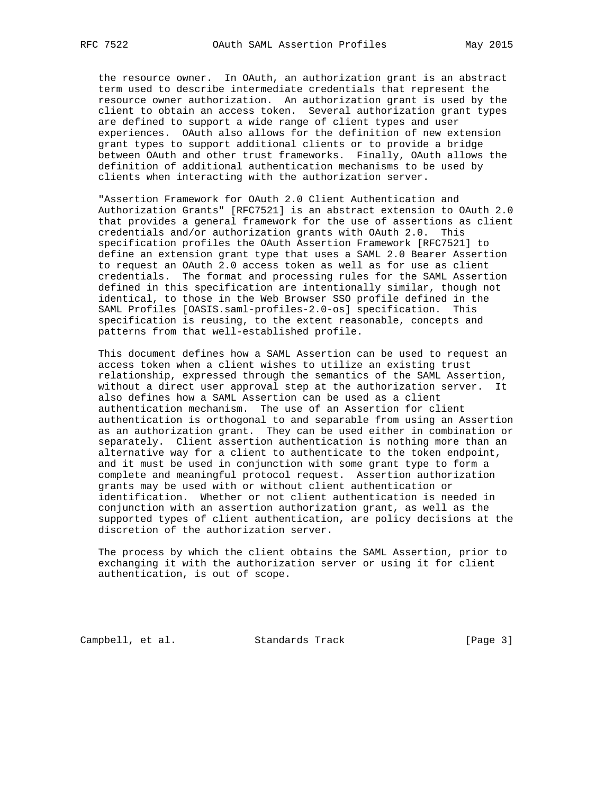the resource owner. In OAuth, an authorization grant is an abstract term used to describe intermediate credentials that represent the resource owner authorization. An authorization grant is used by the client to obtain an access token. Several authorization grant types are defined to support a wide range of client types and user experiences. OAuth also allows for the definition of new extension grant types to support additional clients or to provide a bridge between OAuth and other trust frameworks. Finally, OAuth allows the definition of additional authentication mechanisms to be used by clients when interacting with the authorization server.

 "Assertion Framework for OAuth 2.0 Client Authentication and Authorization Grants" [RFC7521] is an abstract extension to OAuth 2.0 that provides a general framework for the use of assertions as client credentials and/or authorization grants with OAuth 2.0. This specification profiles the OAuth Assertion Framework [RFC7521] to define an extension grant type that uses a SAML 2.0 Bearer Assertion to request an OAuth 2.0 access token as well as for use as client credentials. The format and processing rules for the SAML Assertion defined in this specification are intentionally similar, though not identical, to those in the Web Browser SSO profile defined in the SAML Profiles [OASIS.saml-profiles-2.0-os] specification. This specification is reusing, to the extent reasonable, concepts and patterns from that well-established profile.

 This document defines how a SAML Assertion can be used to request an access token when a client wishes to utilize an existing trust relationship, expressed through the semantics of the SAML Assertion, without a direct user approval step at the authorization server. It also defines how a SAML Assertion can be used as a client authentication mechanism. The use of an Assertion for client authentication is orthogonal to and separable from using an Assertion as an authorization grant. They can be used either in combination or separately. Client assertion authentication is nothing more than an alternative way for a client to authenticate to the token endpoint, and it must be used in conjunction with some grant type to form a complete and meaningful protocol request. Assertion authorization grants may be used with or without client authentication or identification. Whether or not client authentication is needed in conjunction with an assertion authorization grant, as well as the supported types of client authentication, are policy decisions at the discretion of the authorization server.

 The process by which the client obtains the SAML Assertion, prior to exchanging it with the authorization server or using it for client authentication, is out of scope.

Campbell, et al. Standards Track [Page 3]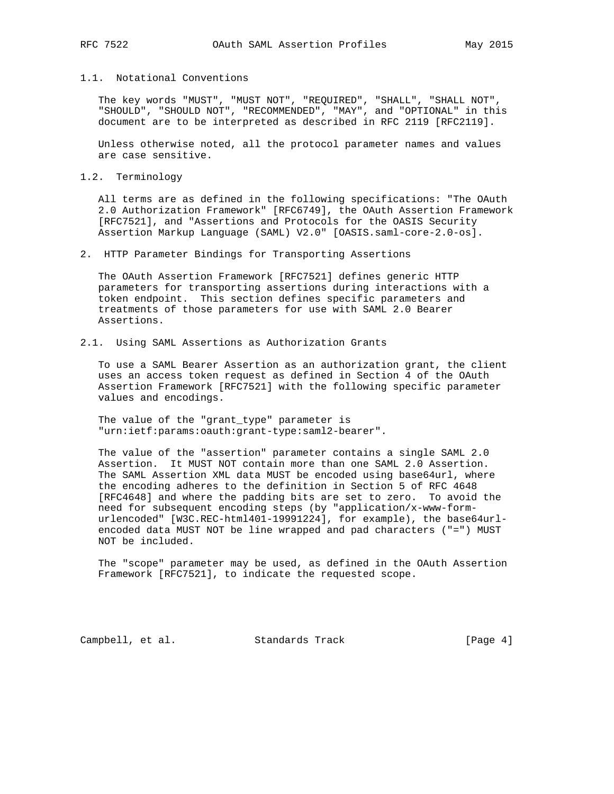# 1.1. Notational Conventions

 The key words "MUST", "MUST NOT", "REQUIRED", "SHALL", "SHALL NOT", "SHOULD", "SHOULD NOT", "RECOMMENDED", "MAY", and "OPTIONAL" in this document are to be interpreted as described in RFC 2119 [RFC2119].

 Unless otherwise noted, all the protocol parameter names and values are case sensitive.

1.2. Terminology

 All terms are as defined in the following specifications: "The OAuth 2.0 Authorization Framework" [RFC6749], the OAuth Assertion Framework [RFC7521], and "Assertions and Protocols for the OASIS Security Assertion Markup Language (SAML) V2.0" [OASIS.saml-core-2.0-os].

2. HTTP Parameter Bindings for Transporting Assertions

 The OAuth Assertion Framework [RFC7521] defines generic HTTP parameters for transporting assertions during interactions with a token endpoint. This section defines specific parameters and treatments of those parameters for use with SAML 2.0 Bearer Assertions.

### 2.1. Using SAML Assertions as Authorization Grants

 To use a SAML Bearer Assertion as an authorization grant, the client uses an access token request as defined in Section 4 of the OAuth Assertion Framework [RFC7521] with the following specific parameter values and encodings.

 The value of the "grant\_type" parameter is "urn:ietf:params:oauth:grant-type:saml2-bearer".

 The value of the "assertion" parameter contains a single SAML 2.0 Assertion. It MUST NOT contain more than one SAML 2.0 Assertion. The SAML Assertion XML data MUST be encoded using base64url, where the encoding adheres to the definition in Section 5 of RFC 4648 [RFC4648] and where the padding bits are set to zero. To avoid the need for subsequent encoding steps (by "application/x-www-form urlencoded" [W3C.REC-html401-19991224], for example), the base64url encoded data MUST NOT be line wrapped and pad characters ("=") MUST NOT be included.

 The "scope" parameter may be used, as defined in the OAuth Assertion Framework [RFC7521], to indicate the requested scope.

Campbell, et al. Standards Track [Page 4]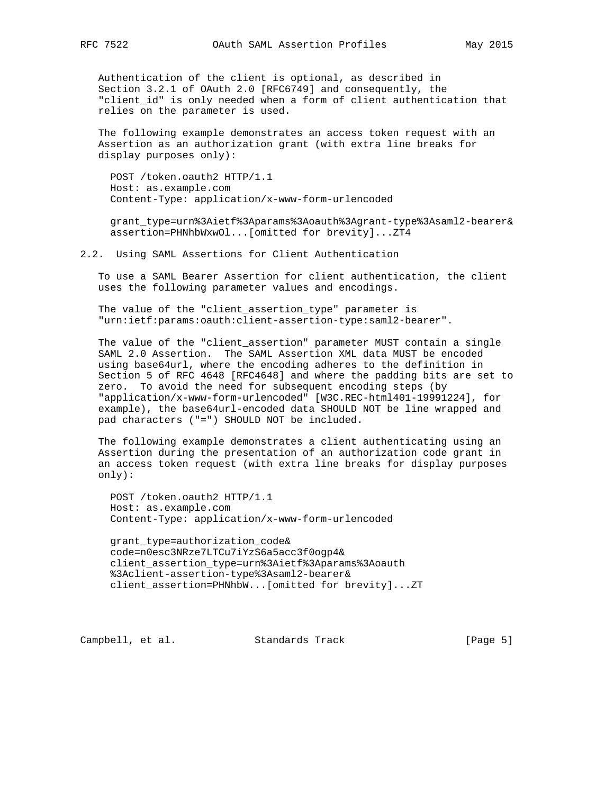Authentication of the client is optional, as described in Section 3.2.1 of OAuth 2.0 [RFC6749] and consequently, the "client\_id" is only needed when a form of client authentication that relies on the parameter is used.

 The following example demonstrates an access token request with an Assertion as an authorization grant (with extra line breaks for display purposes only):

 POST /token.oauth2 HTTP/1.1 Host: as.example.com Content-Type: application/x-www-form-urlencoded

 grant\_type=urn%3Aietf%3Aparams%3Aoauth%3Agrant-type%3Asaml2-bearer& assertion=PHNhbWxwOl...[omitted for brevity]...ZT4

2.2. Using SAML Assertions for Client Authentication

 To use a SAML Bearer Assertion for client authentication, the client uses the following parameter values and encodings.

 The value of the "client\_assertion\_type" parameter is "urn:ietf:params:oauth:client-assertion-type:saml2-bearer".

 The value of the "client\_assertion" parameter MUST contain a single SAML 2.0 Assertion. The SAML Assertion XML data MUST be encoded using base64url, where the encoding adheres to the definition in Section 5 of RFC 4648 [RFC4648] and where the padding bits are set to zero. To avoid the need for subsequent encoding steps (by "application/x-www-form-urlencoded" [W3C.REC-html401-19991224], for example), the base64url-encoded data SHOULD NOT be line wrapped and pad characters ("=") SHOULD NOT be included.

 The following example demonstrates a client authenticating using an Assertion during the presentation of an authorization code grant in an access token request (with extra line breaks for display purposes only):

 POST /token.oauth2 HTTP/1.1 Host: as.example.com Content-Type: application/x-www-form-urlencoded

 grant\_type=authorization\_code& code=n0esc3NRze7LTCu7iYzS6a5acc3f0ogp4& client\_assertion\_type=urn%3Aietf%3Aparams%3Aoauth %3Aclient-assertion-type%3Asaml2-bearer& client\_assertion=PHNhbW...[omitted for brevity]...ZT

Campbell, et al. Standards Track [Page 5]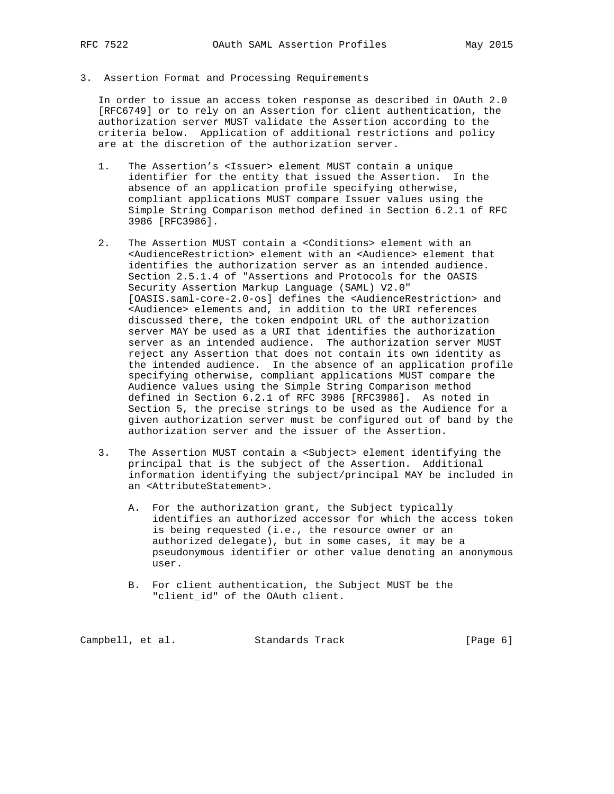3. Assertion Format and Processing Requirements

 In order to issue an access token response as described in OAuth 2.0 [RFC6749] or to rely on an Assertion for client authentication, the authorization server MUST validate the Assertion according to the criteria below. Application of additional restrictions and policy are at the discretion of the authorization server.

- 1. The Assertion's <Issuer> element MUST contain a unique identifier for the entity that issued the Assertion. In the absence of an application profile specifying otherwise, compliant applications MUST compare Issuer values using the Simple String Comparison method defined in Section 6.2.1 of RFC 3986 [RFC3986].
- 2. The Assertion MUST contain a <Conditions> element with an <AudienceRestriction> element with an <Audience> element that identifies the authorization server as an intended audience. Section 2.5.1.4 of "Assertions and Protocols for the OASIS Security Assertion Markup Language (SAML) V2.0" [OASIS.saml-core-2.0-os] defines the <AudienceRestriction> and <Audience> elements and, in addition to the URI references discussed there, the token endpoint URL of the authorization server MAY be used as a URI that identifies the authorization server as an intended audience. The authorization server MUST reject any Assertion that does not contain its own identity as the intended audience. In the absence of an application profile specifying otherwise, compliant applications MUST compare the Audience values using the Simple String Comparison method defined in Section 6.2.1 of RFC 3986 [RFC3986]. As noted in Section 5, the precise strings to be used as the Audience for a given authorization server must be configured out of band by the authorization server and the issuer of the Assertion.
- 3. The Assertion MUST contain a <Subject> element identifying the principal that is the subject of the Assertion. Additional information identifying the subject/principal MAY be included in an <AttributeStatement>.
	- A. For the authorization grant, the Subject typically identifies an authorized accessor for which the access token is being requested (i.e., the resource owner or an authorized delegate), but in some cases, it may be a pseudonymous identifier or other value denoting an anonymous user.
	- B. For client authentication, the Subject MUST be the "client\_id" of the OAuth client.

Campbell, et al. Standards Track [Page 6]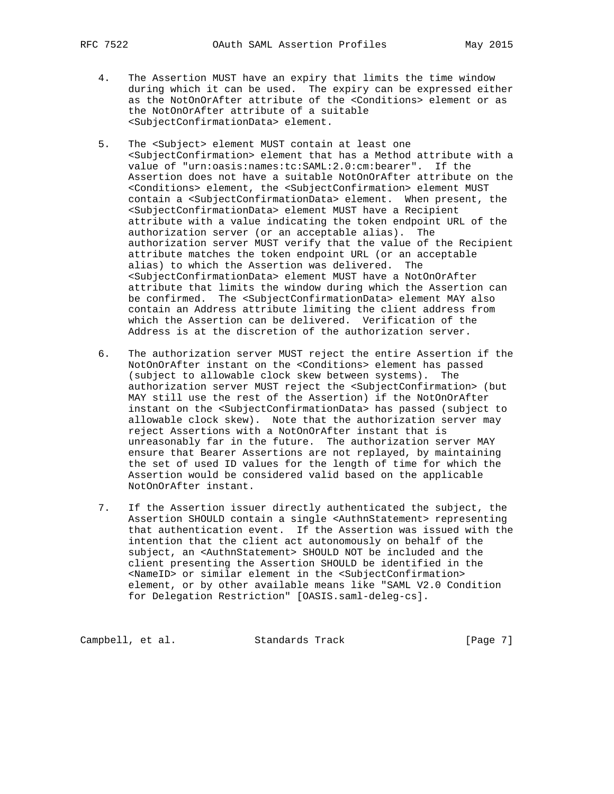- 4. The Assertion MUST have an expiry that limits the time window during which it can be used. The expiry can be expressed either as the NotOnOrAfter attribute of the <Conditions> element or as the NotOnOrAfter attribute of a suitable <SubjectConfirmationData> element.
	- 5. The <Subject> element MUST contain at least one <SubjectConfirmation> element that has a Method attribute with a value of "urn:oasis:names:tc:SAML:2.0:cm:bearer". If the Assertion does not have a suitable NotOnOrAfter attribute on the <Conditions> element, the <SubjectConfirmation> element MUST contain a <SubjectConfirmationData> element. When present, the <SubjectConfirmationData> element MUST have a Recipient attribute with a value indicating the token endpoint URL of the authorization server (or an acceptable alias). The authorization server MUST verify that the value of the Recipient attribute matches the token endpoint URL (or an acceptable alias) to which the Assertion was delivered. The <SubjectConfirmationData> element MUST have a NotOnOrAfter attribute that limits the window during which the Assertion can be confirmed. The <SubjectConfirmationData> element MAY also contain an Address attribute limiting the client address from which the Assertion can be delivered. Verification of the Address is at the discretion of the authorization server.
	- 6. The authorization server MUST reject the entire Assertion if the NotOnOrAfter instant on the <Conditions> element has passed (subject to allowable clock skew between systems). The authorization server MUST reject the <SubjectConfirmation> (but MAY still use the rest of the Assertion) if the NotOnOrAfter instant on the <SubjectConfirmationData> has passed (subject to allowable clock skew). Note that the authorization server may reject Assertions with a NotOnOrAfter instant that is unreasonably far in the future. The authorization server MAY ensure that Bearer Assertions are not replayed, by maintaining the set of used ID values for the length of time for which the Assertion would be considered valid based on the applicable NotOnOrAfter instant.
	- 7. If the Assertion issuer directly authenticated the subject, the Assertion SHOULD contain a single <AuthnStatement> representing that authentication event. If the Assertion was issued with the intention that the client act autonomously on behalf of the subject, an <AuthnStatement> SHOULD NOT be included and the client presenting the Assertion SHOULD be identified in the <NameID> or similar element in the <SubjectConfirmation> element, or by other available means like "SAML V2.0 Condition for Delegation Restriction" [OASIS.saml-deleg-cs].

Campbell, et al. Standards Track [Page 7]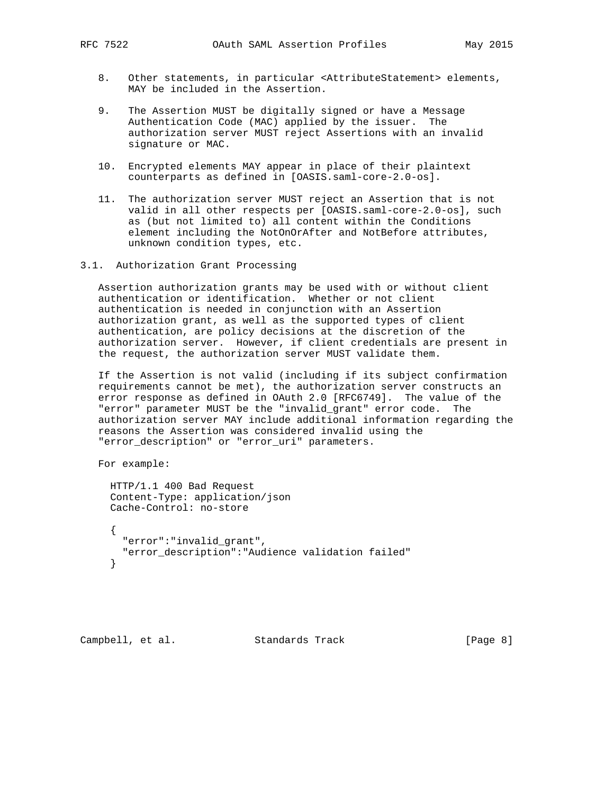- 8. Other statements, in particular <AttributeStatement> elements, MAY be included in the Assertion.
- 9. The Assertion MUST be digitally signed or have a Message Authentication Code (MAC) applied by the issuer. The authorization server MUST reject Assertions with an invalid signature or MAC.
- 10. Encrypted elements MAY appear in place of their plaintext counterparts as defined in [OASIS.saml-core-2.0-os].
- 11. The authorization server MUST reject an Assertion that is not valid in all other respects per [OASIS.saml-core-2.0-os], such as (but not limited to) all content within the Conditions element including the NotOnOrAfter and NotBefore attributes, unknown condition types, etc.
- 3.1. Authorization Grant Processing

 Assertion authorization grants may be used with or without client authentication or identification. Whether or not client authentication is needed in conjunction with an Assertion authorization grant, as well as the supported types of client authentication, are policy decisions at the discretion of the authorization server. However, if client credentials are present in the request, the authorization server MUST validate them.

 If the Assertion is not valid (including if its subject confirmation requirements cannot be met), the authorization server constructs an error response as defined in OAuth 2.0 [RFC6749]. The value of the "error" parameter MUST be the "invalid\_grant" error code. The authorization server MAY include additional information regarding the reasons the Assertion was considered invalid using the "error\_description" or "error\_uri" parameters.

For example:

 HTTP/1.1 400 Bad Request Content-Type: application/json Cache-Control: no-store

 $\left\{\begin{array}{ccc} \end{array}\right\}$  "error":"invalid\_grant", "error\_description":"Audience validation failed" }

Campbell, et al. Standards Track [Page 8]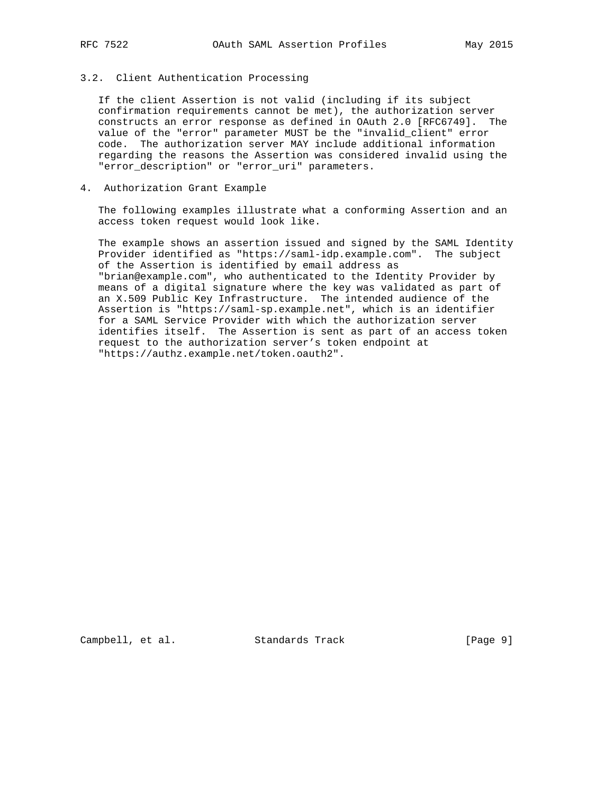## 3.2. Client Authentication Processing

 If the client Assertion is not valid (including if its subject confirmation requirements cannot be met), the authorization server constructs an error response as defined in OAuth 2.0 [RFC6749]. The value of the "error" parameter MUST be the "invalid\_client" error code. The authorization server MAY include additional information regarding the reasons the Assertion was considered invalid using the "error\_description" or "error\_uri" parameters.

## 4. Authorization Grant Example

 The following examples illustrate what a conforming Assertion and an access token request would look like.

 The example shows an assertion issued and signed by the SAML Identity Provider identified as "https://saml-idp.example.com". The subject of the Assertion is identified by email address as "brian@example.com", who authenticated to the Identity Provider by means of a digital signature where the key was validated as part of an X.509 Public Key Infrastructure. The intended audience of the Assertion is "https://saml-sp.example.net", which is an identifier for a SAML Service Provider with which the authorization server identifies itself. The Assertion is sent as part of an access token request to the authorization server's token endpoint at "https://authz.example.net/token.oauth2".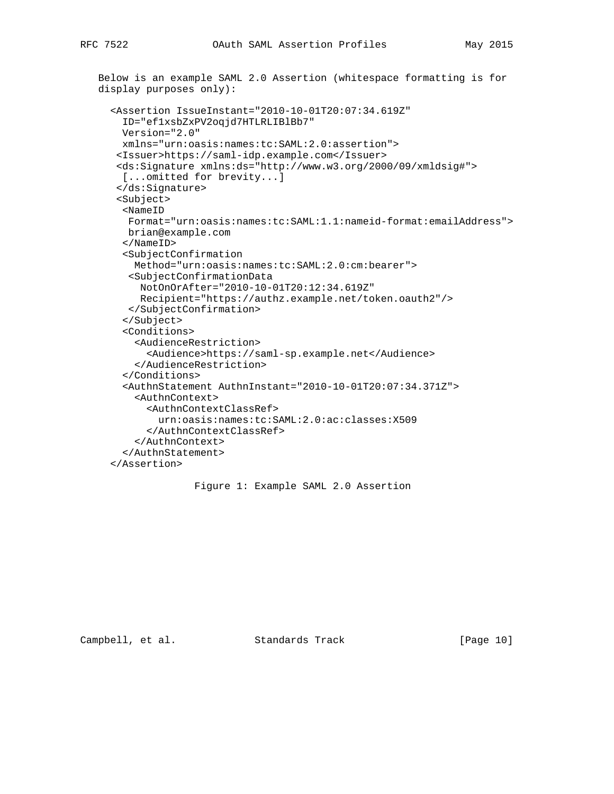```
 Below is an example SAML 2.0 Assertion (whitespace formatting is for
display purposes only):
  <Assertion IssueInstant="2010-10-01T20:07:34.619Z"
    ID="ef1xsbZxPV2oqjd7HTLRLIBlBb7"
   Version="2.0"
   xmlns="urn:oasis:names:tc:SAML:2.0:assertion">
   <Issuer>https://saml-idp.example.com</Issuer>
   <ds:Signature xmlns:ds="http://www.w3.org/2000/09/xmldsig#">
   [...omitted for brevity...]
   </ds:Signature>
   <Subject>
    <NameID
     Format="urn:oasis:names:tc:SAML:1.1:nameid-format:emailAddress">
    brian@example.com
    </NameID>
    <SubjectConfirmation
      Method="urn:oasis:names:tc:SAML:2.0:cm:bearer">
     <SubjectConfirmationData
       NotOnOrAfter="2010-10-01T20:12:34.619Z"
       Recipient="https://authz.example.net/token.oauth2"/>
     </SubjectConfirmation>
    </Subject>
    <Conditions>
      <AudienceRestriction>
        <Audience>https://saml-sp.example.net</Audience>
      </AudienceRestriction>
    </Conditions>
    <AuthnStatement AuthnInstant="2010-10-01T20:07:34.371Z">
      <AuthnContext>
        <AuthnContextClassRef>
          urn:oasis:names:tc:SAML:2.0:ac:classes:X509
        </AuthnContextClassRef>
      </AuthnContext>
    </AuthnStatement>
  </Assertion>
```

```
 Figure 1: Example SAML 2.0 Assertion
```
Campbell, et al. Standards Track [Page 10]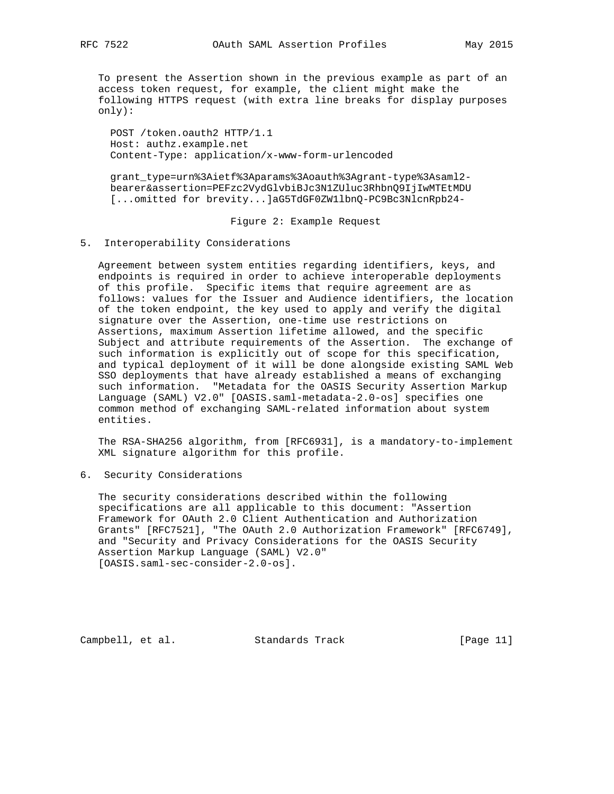To present the Assertion shown in the previous example as part of an access token request, for example, the client might make the following HTTPS request (with extra line breaks for display purposes only):

 POST /token.oauth2 HTTP/1.1 Host: authz.example.net Content-Type: application/x-www-form-urlencoded

 grant\_type=urn%3Aietf%3Aparams%3Aoauth%3Agrant-type%3Asaml2 bearer&assertion=PEFzc2VydGlvbiBJc3N1ZUluc3RhbnQ9IjIwMTEtMDU [...omitted for brevity...]aG5TdGF0ZW1lbnQ-PC9Bc3NlcnRpb24-

Figure 2: Example Request

#### 5. Interoperability Considerations

 Agreement between system entities regarding identifiers, keys, and endpoints is required in order to achieve interoperable deployments of this profile. Specific items that require agreement are as follows: values for the Issuer and Audience identifiers, the location of the token endpoint, the key used to apply and verify the digital signature over the Assertion, one-time use restrictions on Assertions, maximum Assertion lifetime allowed, and the specific Subject and attribute requirements of the Assertion. The exchange of such information is explicitly out of scope for this specification, and typical deployment of it will be done alongside existing SAML Web SSO deployments that have already established a means of exchanging such information. "Metadata for the OASIS Security Assertion Markup Language (SAML) V2.0" [OASIS.saml-metadata-2.0-os] specifies one common method of exchanging SAML-related information about system entities.

 The RSA-SHA256 algorithm, from [RFC6931], is a mandatory-to-implement XML signature algorithm for this profile.

6. Security Considerations

 The security considerations described within the following specifications are all applicable to this document: "Assertion Framework for OAuth 2.0 Client Authentication and Authorization Grants" [RFC7521], "The OAuth 2.0 Authorization Framework" [RFC6749], and "Security and Privacy Considerations for the OASIS Security Assertion Markup Language (SAML) V2.0" [OASIS.saml-sec-consider-2.0-os].

Campbell, et al. Standards Track [Page 11]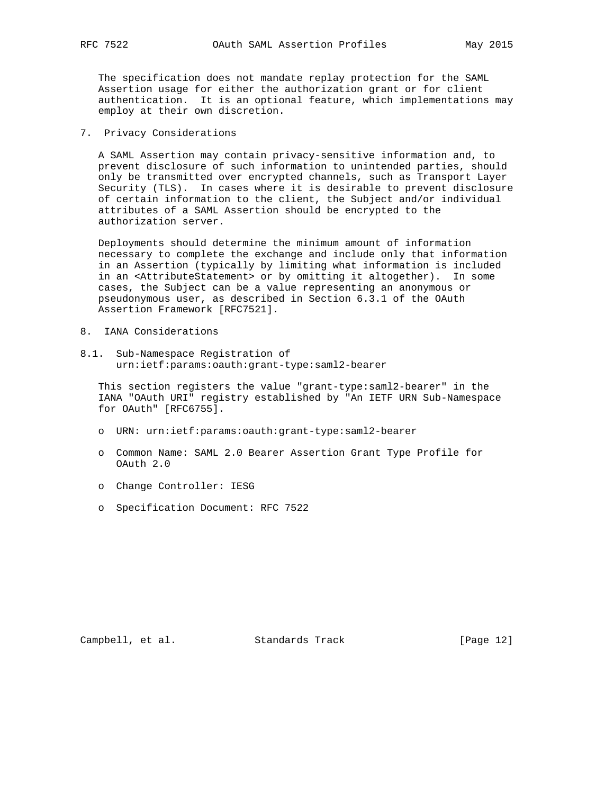The specification does not mandate replay protection for the SAML Assertion usage for either the authorization grant or for client authentication. It is an optional feature, which implementations may employ at their own discretion.

7. Privacy Considerations

 A SAML Assertion may contain privacy-sensitive information and, to prevent disclosure of such information to unintended parties, should only be transmitted over encrypted channels, such as Transport Layer Security (TLS). In cases where it is desirable to prevent disclosure of certain information to the client, the Subject and/or individual attributes of a SAML Assertion should be encrypted to the authorization server.

 Deployments should determine the minimum amount of information necessary to complete the exchange and include only that information in an Assertion (typically by limiting what information is included in an <AttributeStatement> or by omitting it altogether). In some cases, the Subject can be a value representing an anonymous or pseudonymous user, as described in Section 6.3.1 of the OAuth Assertion Framework [RFC7521].

- 8. IANA Considerations
- 8.1. Sub-Namespace Registration of urn:ietf:params:oauth:grant-type:saml2-bearer

 This section registers the value "grant-type:saml2-bearer" in the IANA "OAuth URI" registry established by "An IETF URN Sub-Namespace for OAuth" [RFC6755].

- o URN: urn:ietf:params:oauth:grant-type:saml2-bearer
- o Common Name: SAML 2.0 Bearer Assertion Grant Type Profile for OAuth 2.0
- o Change Controller: IESG
- o Specification Document: RFC 7522

Campbell, et al. Standards Track [Page 12]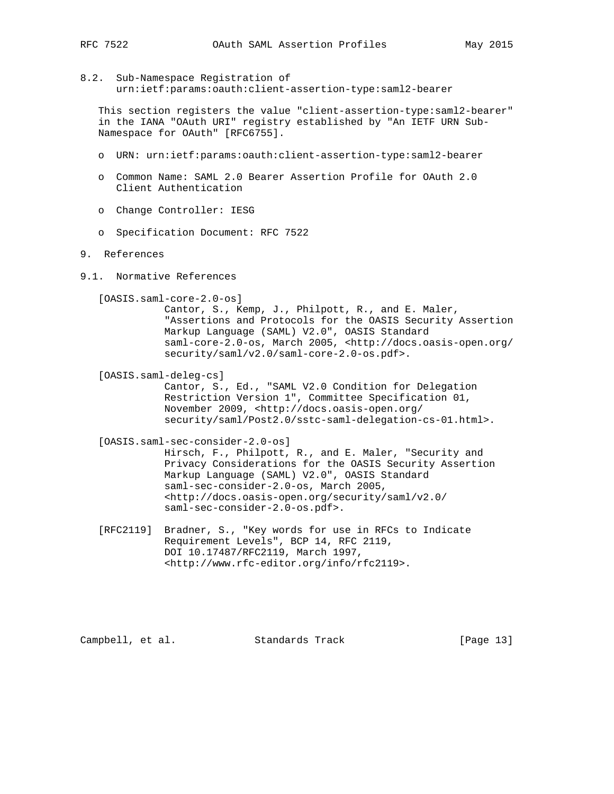- 
- 8.2. Sub-Namespace Registration of urn:ietf:params:oauth:client-assertion-type:saml2-bearer

 This section registers the value "client-assertion-type:saml2-bearer" in the IANA "OAuth URI" registry established by "An IETF URN Sub- Namespace for OAuth" [RFC6755].

- o URN: urn:ietf:params:oauth:client-assertion-type:saml2-bearer
- o Common Name: SAML 2.0 Bearer Assertion Profile for OAuth 2.0 Client Authentication
- o Change Controller: IESG
- o Specification Document: RFC 7522

#### 9. References

9.1. Normative References

[OASIS.saml-core-2.0-os]

 Cantor, S., Kemp, J., Philpott, R., and E. Maler, "Assertions and Protocols for the OASIS Security Assertion Markup Language (SAML) V2.0", OASIS Standard saml-core-2.0-os, March 2005, <http://docs.oasis-open.org/ security/saml/v2.0/saml-core-2.0-os.pdf>.

[OASIS.saml-deleg-cs]

 Cantor, S., Ed., "SAML V2.0 Condition for Delegation Restriction Version 1", Committee Specification 01, November 2009, <http://docs.oasis-open.org/ security/saml/Post2.0/sstc-saml-delegation-cs-01.html>.

[OASIS.saml-sec-consider-2.0-os]

 Hirsch, F., Philpott, R., and E. Maler, "Security and Privacy Considerations for the OASIS Security Assertion Markup Language (SAML) V2.0", OASIS Standard saml-sec-consider-2.0-os, March 2005, <http://docs.oasis-open.org/security/saml/v2.0/ saml-sec-consider-2.0-os.pdf>.

 [RFC2119] Bradner, S., "Key words for use in RFCs to Indicate Requirement Levels", BCP 14, RFC 2119, DOI 10.17487/RFC2119, March 1997, <http://www.rfc-editor.org/info/rfc2119>.

Campbell, et al. Standards Track [Page 13]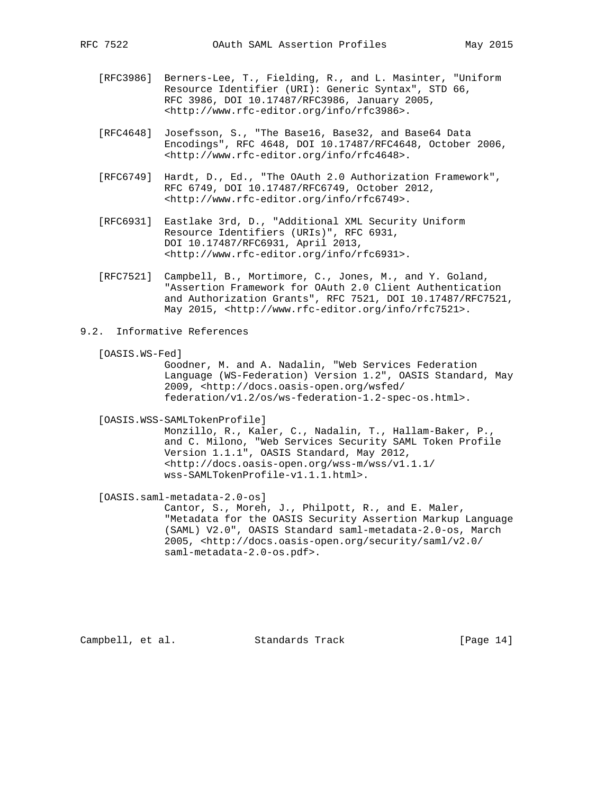- [RFC3986] Berners-Lee, T., Fielding, R., and L. Masinter, "Uniform Resource Identifier (URI): Generic Syntax", STD 66, RFC 3986, DOI 10.17487/RFC3986, January 2005, <http://www.rfc-editor.org/info/rfc3986>.
- [RFC4648] Josefsson, S., "The Base16, Base32, and Base64 Data Encodings", RFC 4648, DOI 10.17487/RFC4648, October 2006, <http://www.rfc-editor.org/info/rfc4648>.
- [RFC6749] Hardt, D., Ed., "The OAuth 2.0 Authorization Framework", RFC 6749, DOI 10.17487/RFC6749, October 2012, <http://www.rfc-editor.org/info/rfc6749>.
- [RFC6931] Eastlake 3rd, D., "Additional XML Security Uniform Resource Identifiers (URIs)", RFC 6931, DOI 10.17487/RFC6931, April 2013, <http://www.rfc-editor.org/info/rfc6931>.
- [RFC7521] Campbell, B., Mortimore, C., Jones, M., and Y. Goland, "Assertion Framework for OAuth 2.0 Client Authentication and Authorization Grants", RFC 7521, DOI 10.17487/RFC7521, May 2015, <http://www.rfc-editor.org/info/rfc7521>.
- 9.2. Informative References

```
 [OASIS.WS-Fed]
```
 Goodner, M. and A. Nadalin, "Web Services Federation Language (WS-Federation) Version 1.2", OASIS Standard, May 2009, <http://docs.oasis-open.org/wsfed/ federation/v1.2/os/ws-federation-1.2-spec-os.html>.

[OASIS.WSS-SAMLTokenProfile]

 Monzillo, R., Kaler, C., Nadalin, T., Hallam-Baker, P., and C. Milono, "Web Services Security SAML Token Profile Version 1.1.1", OASIS Standard, May 2012, <http://docs.oasis-open.org/wss-m/wss/v1.1.1/ wss-SAMLTokenProfile-v1.1.1.html>.

[OASIS.saml-metadata-2.0-os]

 Cantor, S., Moreh, J., Philpott, R., and E. Maler, "Metadata for the OASIS Security Assertion Markup Language (SAML) V2.0", OASIS Standard saml-metadata-2.0-os, March 2005, <http://docs.oasis-open.org/security/saml/v2.0/ saml-metadata-2.0-os.pdf>.

Campbell, et al. Standards Track [Page 14]